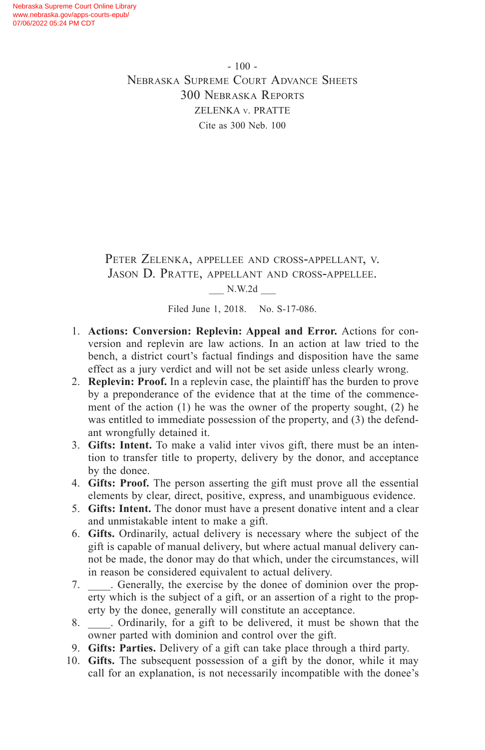- 100 - Nebraska Supreme Court Advance Sheets 300 Nebraska Reports ZELENKA v. PRATTE Cite as 300 Neb. 100

Peter Zelenka, appellee and cross-appellant, v. Jason D. Pratte, appellant and cross-appellee.

\_\_\_ N.W.2d \_\_\_

Filed June 1, 2018. No. S-17-086.

- 1. **Actions: Conversion: Replevin: Appeal and Error.** Actions for conversion and replevin are law actions. In an action at law tried to the bench, a district court's factual findings and disposition have the same effect as a jury verdict and will not be set aside unless clearly wrong.
- 2. **Replevin: Proof.** In a replevin case, the plaintiff has the burden to prove by a preponderance of the evidence that at the time of the commencement of the action (1) he was the owner of the property sought, (2) he was entitled to immediate possession of the property, and (3) the defendant wrongfully detained it.
- 3. **Gifts: Intent.** To make a valid inter vivos gift, there must be an intention to transfer title to property, delivery by the donor, and acceptance by the donee.
- 4. **Gifts: Proof.** The person asserting the gift must prove all the essential elements by clear, direct, positive, express, and unambiguous evidence.
- 5. **Gifts: Intent.** The donor must have a present donative intent and a clear and unmistakable intent to make a gift.
- 6. **Gifts.** Ordinarily, actual delivery is necessary where the subject of the gift is capable of manual delivery, but where actual manual delivery cannot be made, the donor may do that which, under the circumstances, will in reason be considered equivalent to actual delivery.
- 7. Generally, the exercise by the donee of dominion over the property which is the subject of a gift, or an assertion of a right to the property by the donee, generally will constitute an acceptance.
- 8. Condinarily, for a gift to be delivered, it must be shown that the owner parted with dominion and control over the gift.
- 9. **Gifts: Parties.** Delivery of a gift can take place through a third party.
- 10. **Gifts.** The subsequent possession of a gift by the donor, while it may call for an explanation, is not necessarily incompatible with the donee's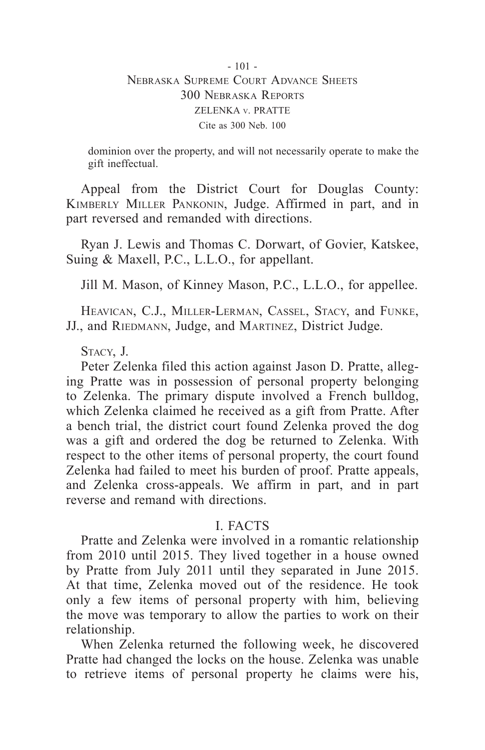### - 101 - Nebraska Supreme Court Advance Sheets 300 Nebraska Reports ZELENKA v. PRATTE Cite as 300 Neb. 100

dominion over the property, and will not necessarily operate to make the gift ineffectual.

Appeal from the District Court for Douglas County: Kimberly Miller Pankonin, Judge. Affirmed in part, and in part reversed and remanded with directions.

Ryan J. Lewis and Thomas C. Dorwart, of Govier, Katskee, Suing & Maxell, P.C., L.L.O., for appellant.

Jill M. Mason, of Kinney Mason, P.C., L.L.O., for appellee.

Heavican, C.J., Miller-Lerman, Cassel, Stacy, and Funke, JJ., and RIEDMANN, Judge, and MARTINEZ, District Judge.

Stacy, J.

Peter Zelenka filed this action against Jason D. Pratte, alleging Pratte was in possession of personal property belonging to Zelenka. The primary dispute involved a French bulldog, which Zelenka claimed he received as a gift from Pratte. After a bench trial, the district court found Zelenka proved the dog was a gift and ordered the dog be returned to Zelenka. With respect to the other items of personal property, the court found Zelenka had failed to meet his burden of proof. Pratte appeals, and Zelenka cross-appeals. We affirm in part, and in part reverse and remand with directions.

# I. FACTS

Pratte and Zelenka were involved in a romantic relationship from 2010 until 2015. They lived together in a house owned by Pratte from July 2011 until they separated in June 2015. At that time, Zelenka moved out of the residence. He took only a few items of personal property with him, believing the move was temporary to allow the parties to work on their relationship.

When Zelenka returned the following week, he discovered Pratte had changed the locks on the house. Zelenka was unable to retrieve items of personal property he claims were his,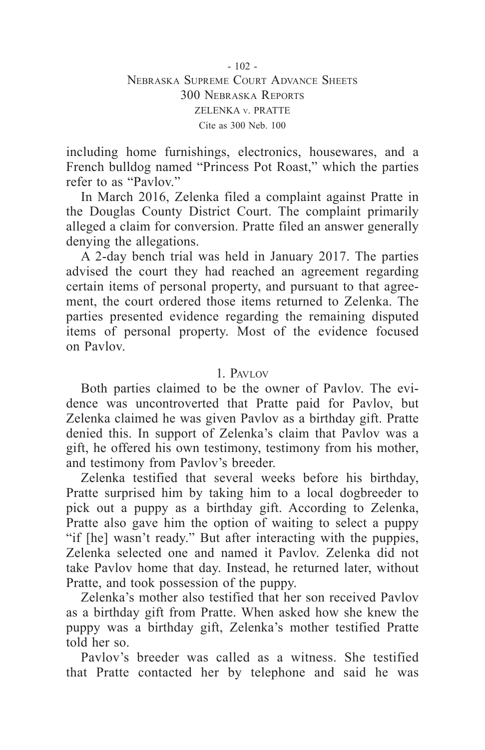including home furnishings, electronics, housewares, and a French bulldog named "Princess Pot Roast," which the parties refer to as "Paylov"

In March 2016, Zelenka filed a complaint against Pratte in the Douglas County District Court. The complaint primarily alleged a claim for conversion. Pratte filed an answer generally denying the allegations.

A 2-day bench trial was held in January 2017. The parties advised the court they had reached an agreement regarding certain items of personal property, and pursuant to that agreement, the court ordered those items returned to Zelenka. The parties presented evidence regarding the remaining disputed items of personal property. Most of the evidence focused on Pavlov.

### 1. Pavlov

Both parties claimed to be the owner of Pavlov. The evidence was uncontroverted that Pratte paid for Pavlov, but Zelenka claimed he was given Pavlov as a birthday gift. Pratte denied this. In support of Zelenka's claim that Pavlov was a gift, he offered his own testimony, testimony from his mother, and testimony from Pavlov's breeder.

Zelenka testified that several weeks before his birthday, Pratte surprised him by taking him to a local dogbreeder to pick out a puppy as a birthday gift. According to Zelenka, Pratte also gave him the option of waiting to select a puppy "if [he] wasn't ready." But after interacting with the puppies, Zelenka selected one and named it Pavlov. Zelenka did not take Pavlov home that day. Instead, he returned later, without Pratte, and took possession of the puppy.

Zelenka's mother also testified that her son received Pavlov as a birthday gift from Pratte. When asked how she knew the puppy was a birthday gift, Zelenka's mother testified Pratte told her so.

Pavlov's breeder was called as a witness. She testified that Pratte contacted her by telephone and said he was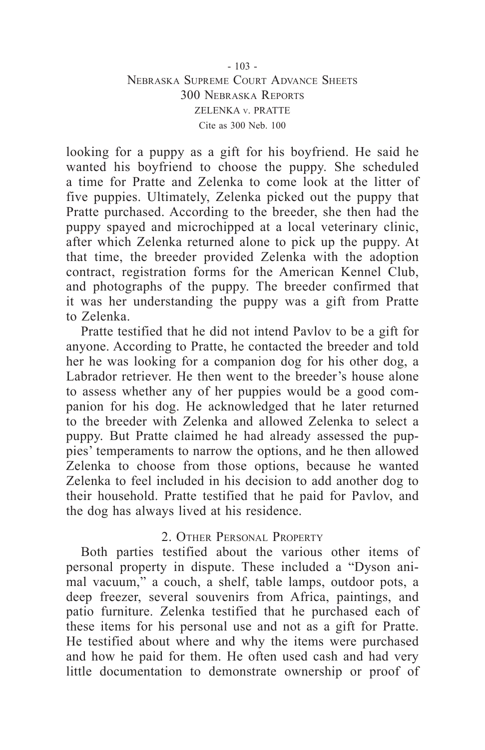#### $-103 -$ Nebraska Supreme Court Advance Sheets 300 Nebraska Reports ZELENKA v. PRATTE Cite as 300 Neb. 100

looking for a puppy as a gift for his boyfriend. He said he wanted his boyfriend to choose the puppy. She scheduled a time for Pratte and Zelenka to come look at the litter of five puppies. Ultimately, Zelenka picked out the puppy that Pratte purchased. According to the breeder, she then had the puppy spayed and microchipped at a local veterinary clinic, after which Zelenka returned alone to pick up the puppy. At that time, the breeder provided Zelenka with the adoption contract, registration forms for the American Kennel Club, and photographs of the puppy. The breeder confirmed that it was her understanding the puppy was a gift from Pratte to Zelenka.

Pratte testified that he did not intend Pavlov to be a gift for anyone. According to Pratte, he contacted the breeder and told her he was looking for a companion dog for his other dog, a Labrador retriever. He then went to the breeder's house alone to assess whether any of her puppies would be a good companion for his dog. He acknowledged that he later returned to the breeder with Zelenka and allowed Zelenka to select a puppy. But Pratte claimed he had already assessed the puppies' temperaments to narrow the options, and he then allowed Zelenka to choose from those options, because he wanted Zelenka to feel included in his decision to add another dog to their household. Pratte testified that he paid for Pavlov, and the dog has always lived at his residence.

#### 2. OTHER PERSONAL PROPERTY

Both parties testified about the various other items of personal property in dispute. These included a "Dyson animal vacuum," a couch, a shelf, table lamps, outdoor pots, a deep freezer, several souvenirs from Africa, paintings, and patio furniture. Zelenka testified that he purchased each of these items for his personal use and not as a gift for Pratte. He testified about where and why the items were purchased and how he paid for them. He often used cash and had very little documentation to demonstrate ownership or proof of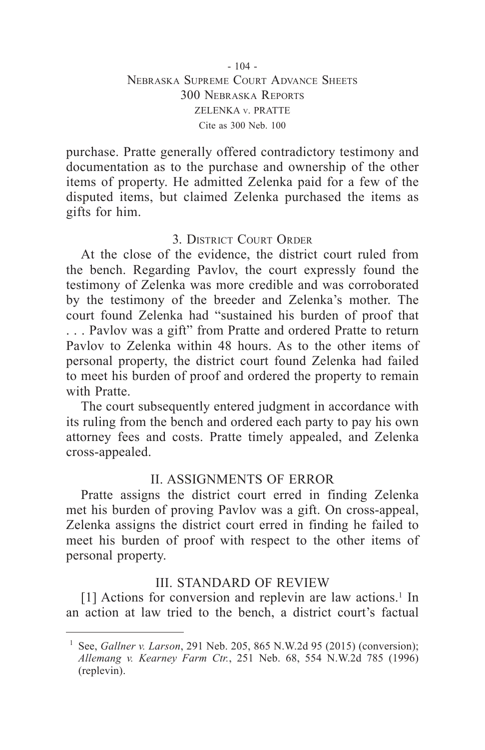#### $-104 -$ Nebraska Supreme Court Advance Sheets 300 Nebraska Reports ZELENKA v. PRATTE Cite as 300 Neb. 100

purchase. Pratte generally offered contradictory testimony and documentation as to the purchase and ownership of the other items of property. He admitted Zelenka paid for a few of the disputed items, but claimed Zelenka purchased the items as gifts for him.

# 3. District Court Order

At the close of the evidence, the district court ruled from the bench. Regarding Pavlov, the court expressly found the testimony of Zelenka was more credible and was corroborated by the testimony of the breeder and Zelenka's mother. The court found Zelenka had "sustained his burden of proof that . . . Pavlov was a gift" from Pratte and ordered Pratte to return Pavlov to Zelenka within 48 hours. As to the other items of personal property, the district court found Zelenka had failed to meet his burden of proof and ordered the property to remain with Pratte.

The court subsequently entered judgment in accordance with its ruling from the bench and ordered each party to pay his own attorney fees and costs. Pratte timely appealed, and Zelenka cross-appealed.

# II. ASSIGNMENTS OF ERROR

Pratte assigns the district court erred in finding Zelenka met his burden of proving Pavlov was a gift. On cross-appeal, Zelenka assigns the district court erred in finding he failed to meet his burden of proof with respect to the other items of personal property.

# III. STANDARD OF REVIEW

[1] Actions for conversion and replevin are law actions.<sup>1</sup> In an action at law tried to the bench, a district court's factual

<sup>1</sup> See, *Gallner v. Larson*, 291 Neb. 205, 865 N.W.2d 95 (2015) (conversion); *Allemang v. Kearney Farm Ctr.*, 251 Neb. 68, 554 N.W.2d 785 (1996) (replevin).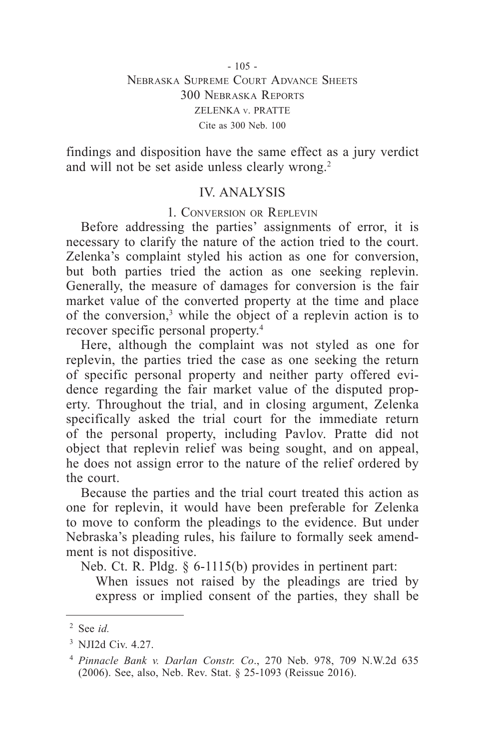findings and disposition have the same effect as a jury verdict and will not be set aside unless clearly wrong.<sup>2</sup>

# IV. ANALYSIS

#### 1. Conversion or Replevin

Before addressing the parties' assignments of error, it is necessary to clarify the nature of the action tried to the court. Zelenka's complaint styled his action as one for conversion, but both parties tried the action as one seeking replevin. Generally, the measure of damages for conversion is the fair market value of the converted property at the time and place of the conversion,<sup>3</sup> while the object of a replevin action is to recover specific personal property.4

Here, although the complaint was not styled as one for replevin, the parties tried the case as one seeking the return of specific personal property and neither party offered evidence regarding the fair market value of the disputed property. Throughout the trial, and in closing argument, Zelenka specifically asked the trial court for the immediate return of the personal property, including Pavlov. Pratte did not object that replevin relief was being sought, and on appeal, he does not assign error to the nature of the relief ordered by the court.

Because the parties and the trial court treated this action as one for replevin, it would have been preferable for Zelenka to move to conform the pleadings to the evidence. But under Nebraska's pleading rules, his failure to formally seek amendment is not dispositive.

Neb. Ct. R. Pldg. § 6-1115(b) provides in pertinent part:

When issues not raised by the pleadings are tried by express or implied consent of the parties, they shall be

<sup>2</sup> See *id.*

<sup>3</sup> NJI2d Civ. 4.27.

<sup>4</sup> *Pinnacle Bank v. Darlan Constr. Co*., 270 Neb. 978, 709 N.W.2d 635 (2006). See, also, Neb. Rev. Stat. § 25-1093 (Reissue 2016).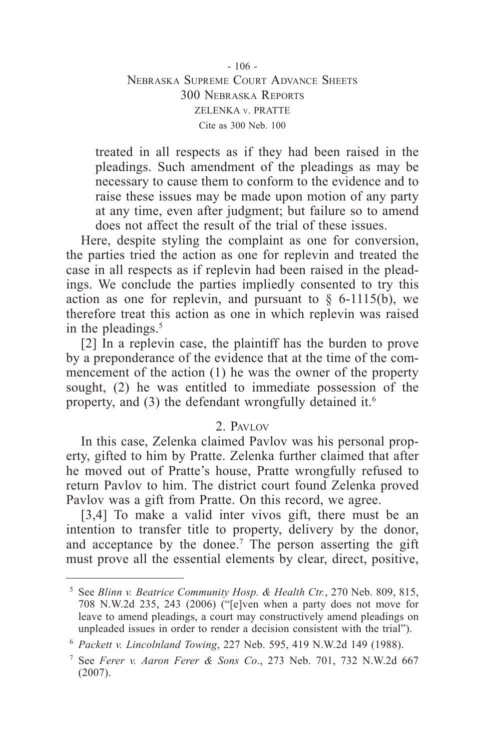- 106 - Nebraska Supreme Court Advance Sheets 300 Nebraska Reports ZELENKA v. PRATTE Cite as 300 Neb. 100

treated in all respects as if they had been raised in the pleadings. Such amendment of the pleadings as may be necessary to cause them to conform to the evidence and to raise these issues may be made upon motion of any party at any time, even after judgment; but failure so to amend does not affect the result of the trial of these issues.

Here, despite styling the complaint as one for conversion, the parties tried the action as one for replevin and treated the case in all respects as if replevin had been raised in the pleadings. We conclude the parties impliedly consented to try this action as one for replevin, and pursuant to  $\S$  6-1115(b), we therefore treat this action as one in which replevin was raised in the pleadings. $5$ 

[2] In a replevin case, the plaintiff has the burden to prove by a preponderance of the evidence that at the time of the commencement of the action (1) he was the owner of the property sought, (2) he was entitled to immediate possession of the property, and (3) the defendant wrongfully detained it.<sup>6</sup>

### 2. Pavlov

In this case, Zelenka claimed Pavlov was his personal property, gifted to him by Pratte. Zelenka further claimed that after he moved out of Pratte's house, Pratte wrongfully refused to return Pavlov to him. The district court found Zelenka proved Pavlov was a gift from Pratte. On this record, we agree.

[3,4] To make a valid inter vivos gift, there must be an intention to transfer title to property, delivery by the donor, and acceptance by the donee.<sup>7</sup> The person asserting the gift must prove all the essential elements by clear, direct, positive,

<sup>5</sup> See *Blinn v. Beatrice Community Hosp. & Health Ctr.*, 270 Neb. 809, 815, 708 N.W.2d 235, 243 (2006) ("[e]ven when a party does not move for leave to amend pleadings, a court may constructively amend pleadings on unpleaded issues in order to render a decision consistent with the trial").

<sup>6</sup> *Packett v. Lincolnland Towing*, 227 Neb. 595, 419 N.W.2d 149 (1988).

<sup>7</sup> See *Ferer v. Aaron Ferer & Sons Co*., 273 Neb. 701, 732 N.W.2d 667 (2007).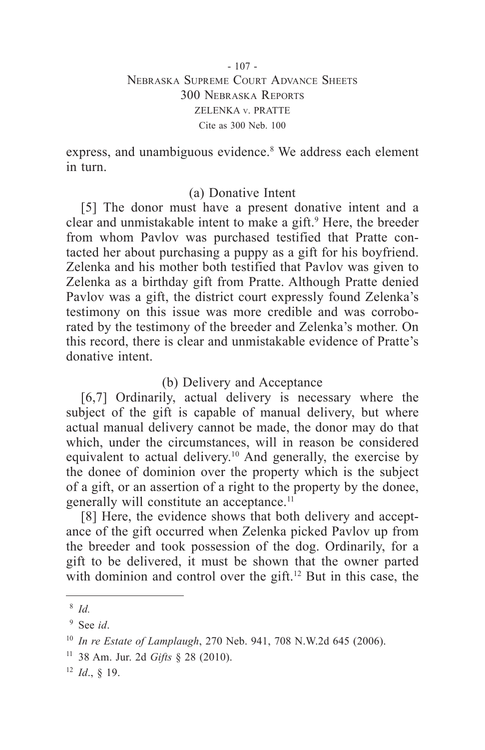express, and unambiguous evidence.<sup>8</sup> We address each element in turn.

# (a) Donative Intent

[5] The donor must have a present donative intent and a clear and unmistakable intent to make a gift.<sup>9</sup> Here, the breeder from whom Pavlov was purchased testified that Pratte contacted her about purchasing a puppy as a gift for his boyfriend. Zelenka and his mother both testified that Pavlov was given to Zelenka as a birthday gift from Pratte. Although Pratte denied Pavlov was a gift, the district court expressly found Zelenka's testimony on this issue was more credible and was corroborated by the testimony of the breeder and Zelenka's mother. On this record, there is clear and unmistakable evidence of Pratte's donative intent.

# (b) Delivery and Acceptance

[6,7] Ordinarily, actual delivery is necessary where the subject of the gift is capable of manual delivery, but where actual manual delivery cannot be made, the donor may do that which, under the circumstances, will in reason be considered equivalent to actual delivery.<sup>10</sup> And generally, the exercise by the donee of dominion over the property which is the subject of a gift, or an assertion of a right to the property by the donee, generally will constitute an acceptance.<sup>11</sup>

[8] Here, the evidence shows that both delivery and acceptance of the gift occurred when Zelenka picked Pavlov up from the breeder and took possession of the dog. Ordinarily, for a gift to be delivered, it must be shown that the owner parted with dominion and control over the gift.<sup>12</sup> But in this case, the

<sup>8</sup> *Id.*

<sup>9</sup> See *id*.

<sup>10</sup> *In re Estate of Lamplaugh*, 270 Neb. 941, 708 N.W.2d 645 (2006).

<sup>11</sup> 38 Am. Jur. 2d *Gifts* § 28 (2010).

<sup>12</sup> *Id*., § 19.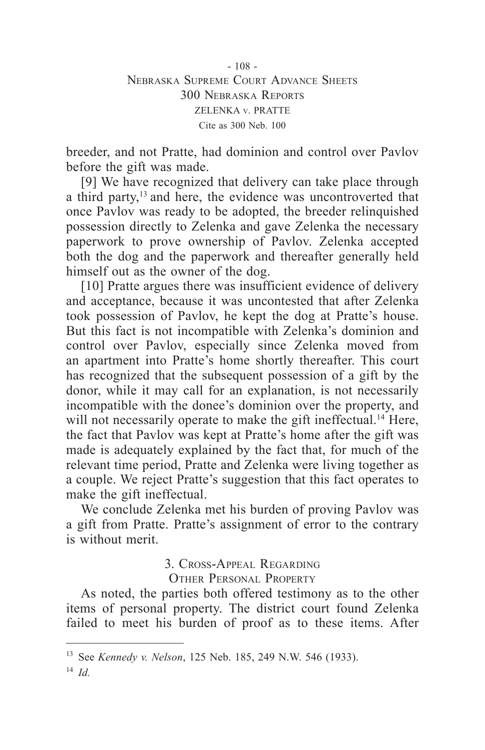- 108 - Nebraska Supreme Court Advance Sheets 300 Nebraska Reports ZELENKA v. PRATTE Cite as 300 Neb. 100

breeder, and not Pratte, had dominion and control over Pavlov before the gift was made.

[9] We have recognized that delivery can take place through a third party,<sup>13</sup> and here, the evidence was uncontroverted that once Pavlov was ready to be adopted, the breeder relinquished possession directly to Zelenka and gave Zelenka the necessary paperwork to prove ownership of Pavlov. Zelenka accepted both the dog and the paperwork and thereafter generally held himself out as the owner of the dog.

[10] Pratte argues there was insufficient evidence of delivery and acceptance, because it was uncontested that after Zelenka took possession of Pavlov, he kept the dog at Pratte's house. But this fact is not incompatible with Zelenka's dominion and control over Pavlov, especially since Zelenka moved from an apartment into Pratte's home shortly thereafter. This court has recognized that the subsequent possession of a gift by the donor, while it may call for an explanation, is not necessarily incompatible with the donee's dominion over the property, and will not necessarily operate to make the gift ineffectual.<sup>14</sup> Here, the fact that Pavlov was kept at Pratte's home after the gift was made is adequately explained by the fact that, for much of the relevant time period, Pratte and Zelenka were living together as a couple. We reject Pratte's suggestion that this fact operates to make the gift ineffectual.

We conclude Zelenka met his burden of proving Pavlov was a gift from Pratte. Pratte's assignment of error to the contrary is without merit.

3. Cross-Appeal Regarding

Other Personal Property

As noted, the parties both offered testimony as to the other items of personal property. The district court found Zelenka failed to meet his burden of proof as to these items. After

<sup>13</sup> See *Kennedy v. Nelson*, 125 Neb. 185, 249 N.W. 546 (1933).

<sup>14</sup> *Id.*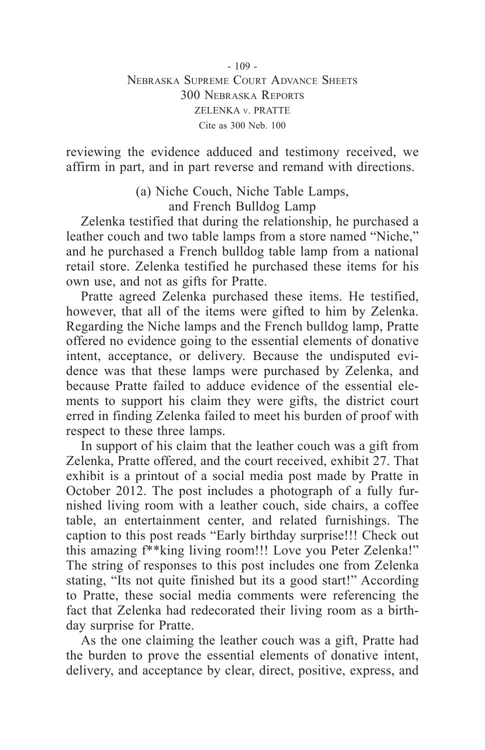#### $-109 -$ Nebraska Supreme Court Advance Sheets 300 Nebraska Reports ZELENKA v. PRATTE Cite as 300 Neb. 100

reviewing the evidence adduced and testimony received, we affirm in part, and in part reverse and remand with directions.

> (a) Niche Couch, Niche Table Lamps, and French Bulldog Lamp

Zelenka testified that during the relationship, he purchased a leather couch and two table lamps from a store named "Niche," and he purchased a French bulldog table lamp from a national retail store. Zelenka testified he purchased these items for his own use, and not as gifts for Pratte.

Pratte agreed Zelenka purchased these items. He testified, however, that all of the items were gifted to him by Zelenka. Regarding the Niche lamps and the French bulldog lamp, Pratte offered no evidence going to the essential elements of donative intent, acceptance, or delivery. Because the undisputed evidence was that these lamps were purchased by Zelenka, and because Pratte failed to adduce evidence of the essential elements to support his claim they were gifts, the district court erred in finding Zelenka failed to meet his burden of proof with respect to these three lamps.

In support of his claim that the leather couch was a gift from Zelenka, Pratte offered, and the court received, exhibit 27. That exhibit is a printout of a social media post made by Pratte in October 2012. The post includes a photograph of a fully furnished living room with a leather couch, side chairs, a coffee table, an entertainment center, and related furnishings. The caption to this post reads "Early birthday surprise!!! Check out this amazing f\*\*king living room!!! Love you Peter Zelenka!" The string of responses to this post includes one from Zelenka stating, "Its not quite finished but its a good start!" According to Pratte, these social media comments were referencing the fact that Zelenka had redecorated their living room as a birthday surprise for Pratte.

As the one claiming the leather couch was a gift, Pratte had the burden to prove the essential elements of donative intent, delivery, and acceptance by clear, direct, positive, express, and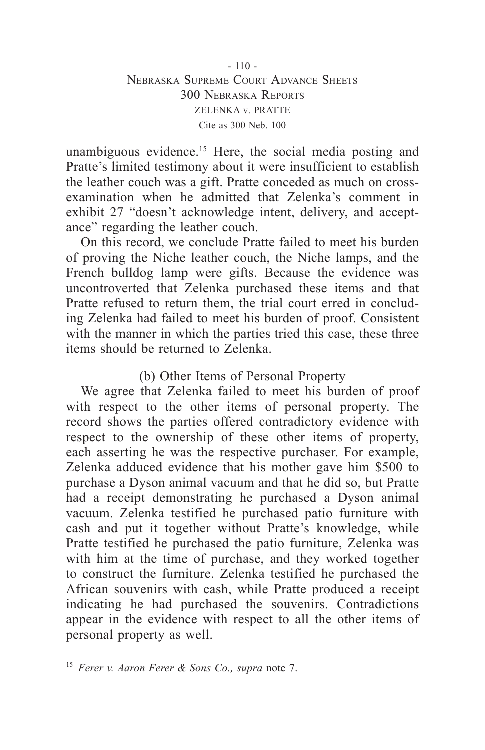$-110-$ Nebraska Supreme Court Advance Sheets 300 Nebraska Reports ZELENKA v. PRATTE Cite as 300 Neb. 100

unambiguous evidence.15 Here, the social media posting and Pratte's limited testimony about it were insufficient to establish the leather couch was a gift. Pratte conceded as much on crossexamination when he admitted that Zelenka's comment in exhibit 27 "doesn't acknowledge intent, delivery, and acceptance" regarding the leather couch.

On this record, we conclude Pratte failed to meet his burden of proving the Niche leather couch, the Niche lamps, and the French bulldog lamp were gifts. Because the evidence was uncontroverted that Zelenka purchased these items and that Pratte refused to return them, the trial court erred in concluding Zelenka had failed to meet his burden of proof. Consistent with the manner in which the parties tried this case, these three items should be returned to Zelenka.

### (b) Other Items of Personal Property

We agree that Zelenka failed to meet his burden of proof with respect to the other items of personal property. The record shows the parties offered contradictory evidence with respect to the ownership of these other items of property, each asserting he was the respective purchaser. For example, Zelenka adduced evidence that his mother gave him \$500 to purchase a Dyson animal vacuum and that he did so, but Pratte had a receipt demonstrating he purchased a Dyson animal vacuum. Zelenka testified he purchased patio furniture with cash and put it together without Pratte's knowledge, while Pratte testified he purchased the patio furniture, Zelenka was with him at the time of purchase, and they worked together to construct the furniture. Zelenka testified he purchased the African souvenirs with cash, while Pratte produced a receipt indicating he had purchased the souvenirs. Contradictions appear in the evidence with respect to all the other items of personal property as well.

<sup>15</sup> *Ferer v. Aaron Ferer & Sons Co., supra* note 7.